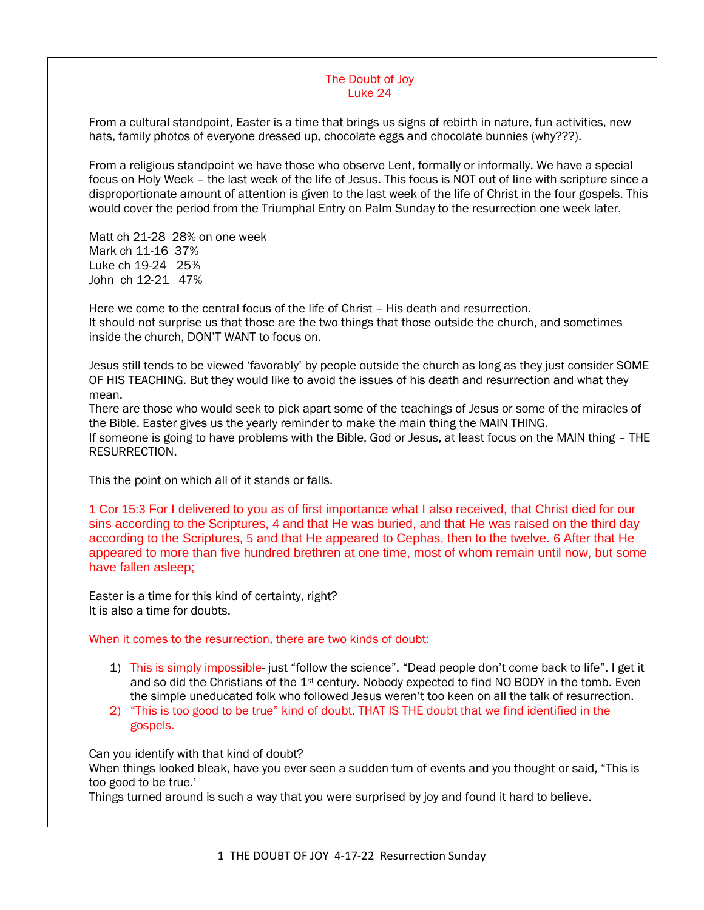## The Doubt of Joy Luke 24

From a cultural standpoint, Easter is a time that brings us signs of rebirth in nature, fun activities, new hats, family photos of everyone dressed up, chocolate eggs and chocolate bunnies (why???).

From a religious standpoint we have those who observe Lent, formally or informally. We have a special focus on Holy Week – the last week of the life of Jesus. This focus is NOT out of line with scripture since a disproportionate amount of attention is given to the last week of the life of Christ in the four gospels. This would cover the period from the Triumphal Entry on Palm Sunday to the resurrection one week later.

Matt ch 21-28 28% on one week Mark ch 11-16 37% Luke ch 19-24 25% John ch 12-21 47%

Here we come to the central focus of the life of Christ – His death and resurrection. It should not surprise us that those are the two things that those outside the church, and sometimes inside the church, DON'T WANT to focus on.

Jesus still tends to be viewed 'favorably' by people outside the church as long as they just consider SOME OF HIS TEACHING. But they would like to avoid the issues of his death and resurrection and what they mean.

There are those who would seek to pick apart some of the teachings of Jesus or some of the miracles of the Bible. Easter gives us the yearly reminder to make the main thing the MAIN THING.

If someone is going to have problems with the Bible, God or Jesus, at least focus on the MAIN thing – THE RESURRECTION.

This the point on which all of it stands or falls.

1 Cor 15:3 For I delivered to you as of first importance what I also received, that Christ died for our sins according to the Scriptures, 4 and that He was buried, and that He was raised on the third day according to the Scriptures, 5 and that He appeared to Cephas, then to the twelve. 6 After that He appeared to more than five hundred brethren at one time, most of whom remain until now, but some have fallen asleep;

Easter is a time for this kind of certainty, right? It is also a time for doubts.

When it comes to the resurrection, there are two kinds of doubt:

- 1) This is simply impossible- just "follow the science". "Dead people don't come back to life". I get it and so did the Christians of the 1<sup>st</sup> century. Nobody expected to find NO BODY in the tomb. Even the simple uneducated folk who followed Jesus weren't too keen on all the talk of resurrection.
- 2) "This is too good to be true" kind of doubt. THAT IS THE doubt that we find identified in the gospels.

Can you identify with that kind of doubt?

When things looked bleak, have you ever seen a sudden turn of events and you thought or said, "This is too good to be true.'

Things turned around is such a way that you were surprised by joy and found it hard to believe.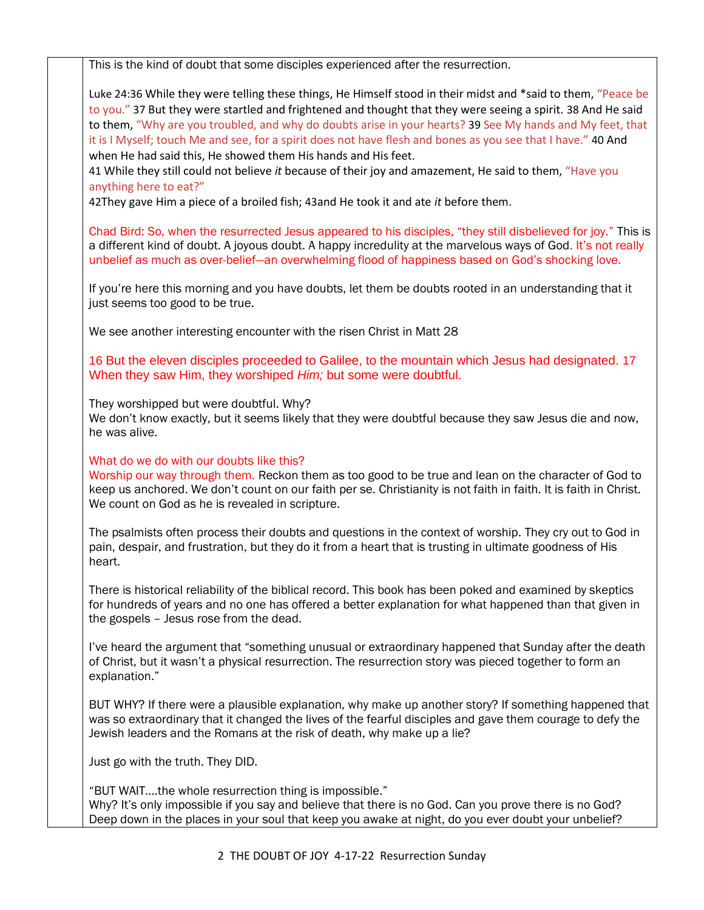This is the kind of doubt that some disciples experienced after the resurrection.

Luke 24:36 While they were telling these things, He Himself stood in their midst and \*said to them, "Peace be to you." 37 But they were startled and frightened and thought that they were seeing a spirit. 38 And He said to them, "Why are you troubled, and why do doubts arise in your hearts? 39 See My hands and My feet, that it is I Myself; touch Me and see, for a spirit does not have flesh and bones as you see that I have." 40 And when He had said this, He showed them His hands and His feet.

41 While they still could not believe *it* because of their joy and amazement, He said to them, "Have you anything here to eat?"

42They gave Him a piece of a broiled fish; 43and He took it and ate *it* before them.

Chad Bird: So, when the resurrected Jesus appeared to his disciples, "they still disbelieved for joy." This is a different kind of doubt. A joyous doubt. A happy incredulity at the marvelous ways of God. It's not really unbelief as much as over-belief—an overwhelming flood of happiness based on God's shocking love.

If you're here this morning and you have doubts, let them be doubts rooted in an understanding that it just seems too good to be true.

We see another interesting encounter with the risen Christ in Matt 28

16 But the eleven disciples proceeded to Galilee, to the mountain which Jesus had designated. 17 When they saw Him, they worshiped *Him;* but some were doubtful.

They worshipped but were doubtful. Why?

We don't know exactly, but it seems likely that they were doubtful because they saw Jesus die and now, he was alive.

## What do we do with our doubts like this?

Worship our way through them. Reckon them as too good to be true and lean on the character of God to keep us anchored. We don't count on our faith per se. Christianity is not faith in faith. It is faith in Christ. We count on God as he is revealed in scripture.

The psalmists often process their doubts and questions in the context of worship. They cry out to God in pain, despair, and frustration, but they do it from a heart that is trusting in ultimate goodness of His heart.

There is historical reliability of the biblical record. This book has been poked and examined by skeptics for hundreds of years and no one has offered a better explanation for what happened than that given in the gospels – Jesus rose from the dead.

I've heard the argument that "something unusual or extraordinary happened that Sunday after the death of Christ, but it wasn't a physical resurrection. The resurrection story was pieced together to form an explanation."

BUT WHY? If there were a plausible explanation, why make up another story? If something happened that was so extraordinary that it changed the lives of the fearful disciples and gave them courage to defy the Jewish leaders and the Romans at the risk of death, why make up a lie?

Just go with the truth. They DID.

"BUT WAIT….the whole resurrection thing is impossible." Why? It's only impossible if you say and believe that there is no God. Can you prove there is no God? Deep down in the places in your soul that keep you awake at night, do you ever doubt your unbelief?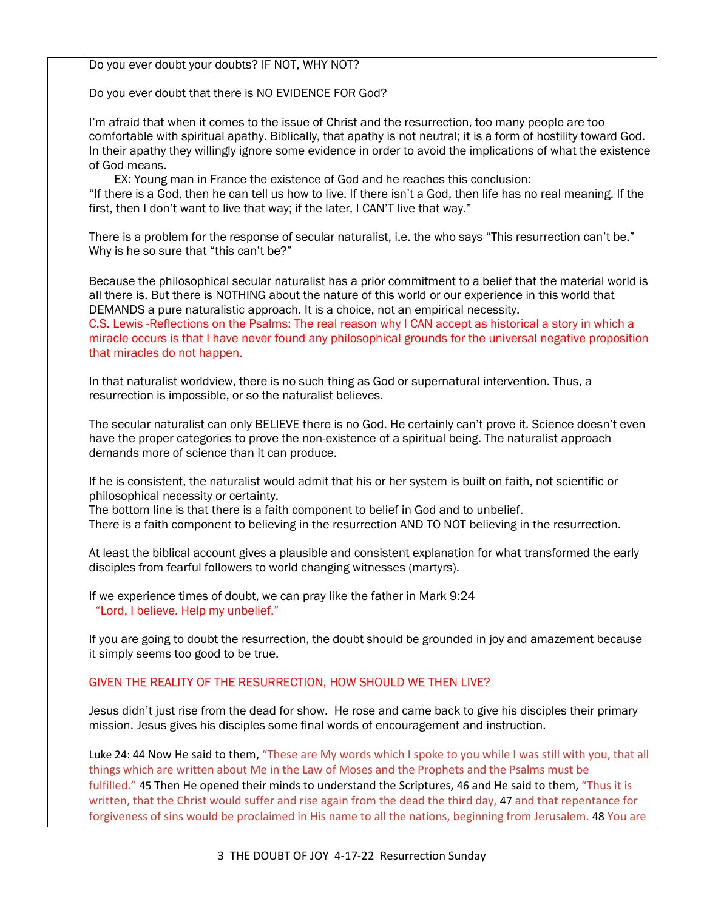Do you ever doubt your doubts? IF NOT, WHY NOT? Do you ever doubt that there is NO EVIDENCE FOR God? I'm afraid that when it comes to the issue of Christ and the resurrection, too many people are too comfortable with spiritual apathy. Biblically, that apathy is not neutral; it is a form of hostility toward God. In their apathy they willingly ignore some evidence in order to avoid the implications of what the existence of God means. EX: Young man in France the existence of God and he reaches this conclusion: "If there is a God, then he can tell us how to live. If there isn't a God, then life has no real meaning. If the first, then I don't want to live that way; if the later, I CAN'T live that way." There is a problem for the response of secular naturalist, i.e. the who says "This resurrection can't be." Why is he so sure that "this can't be?" Because the philosophical secular naturalist has a prior commitment to a belief that the material world is all there is. But there is NOTHING about the nature of this world or our experience in this world that DEMANDS a pure naturalistic approach. It is a choice, not an empirical necessity. C.S. Lewis -Reflections on the Psalms: The real reason why I CAN accept as historical a story in which a miracle occurs is that I have never found any philosophical grounds for the universal negative proposition that miracles do not happen. In that naturalist worldview, there is no such thing as God or supernatural intervention. Thus, a resurrection is impossible, or so the naturalist believes. The secular naturalist can only BELIEVE there is no God. He certainly can't prove it. Science doesn't even have the proper categories to prove the non-existence of a spiritual being. The naturalist approach demands more of science than it can produce. If he is consistent, the naturalist would admit that his or her system is built on faith, not scientific or philosophical necessity or certainty. The bottom line is that there is a faith component to belief in God and to unbelief. There is a faith component to believing in the resurrection AND TO NOT believing in the resurrection. At least the biblical account gives a plausible and consistent explanation for what transformed the early disciples from fearful followers to world changing witnesses (martyrs). If we experience times of doubt, we can pray like the father in Mark 9:24 "Lord, I believe. Help my unbelief." If you are going to doubt the resurrection, the doubt should be grounded in joy and amazement because it simply seems too good to be true. GIVEN THE REALITY OF THE RESURRECTION, HOW SHOULD WE THEN LIVE? Jesus didn't just rise from the dead for show. He rose and came back to give his disciples their primary mission. Jesus gives his disciples some final words of encouragement and instruction. Luke 24: 44 Now He said to them, "These are My words which I spoke to you while I was still with you, that all things which are written about Me in the Law of Moses and the Prophets and the Psalms must be fulfilled." 45 Then He opened their minds to understand the Scriptures, 46 and He said to them, "Thus it is written, that the Christ would suffer and rise again from the dead the third day, 47 and that repentance for forgiveness of sins would be proclaimed in His name to all the nations, beginning from Jerusalem. 48 You are

3 THE DOUBT OF JOY 4-17-22 Resurrection Sunday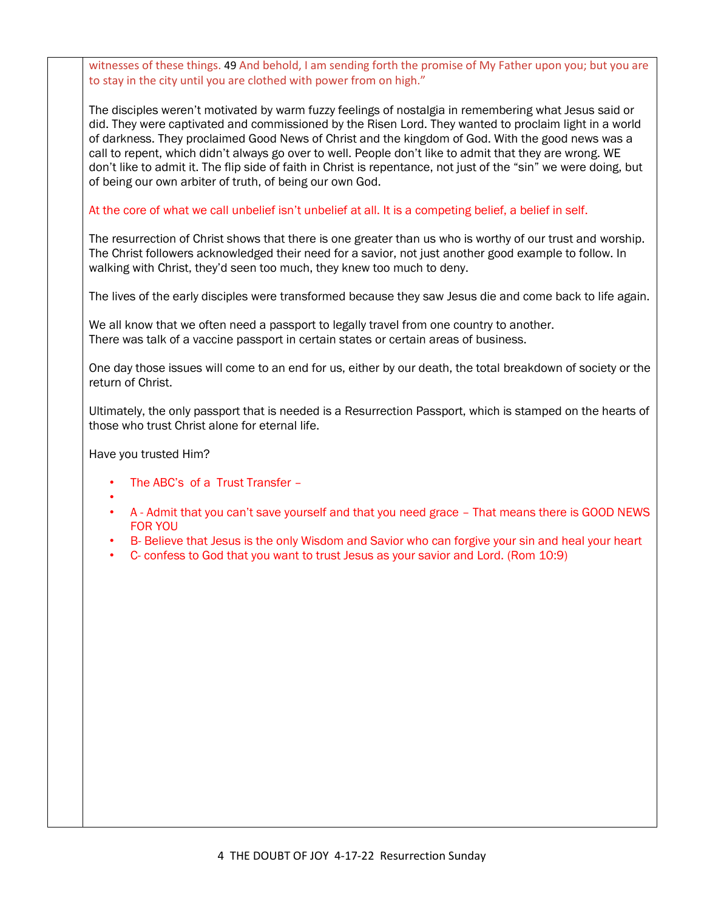witnesses of these things. 49 And behold, I am sending forth the promise of My Father upon you; but you are to stay in the city until you are clothed with power from on high."

The disciples weren't motivated by warm fuzzy feelings of nostalgia in remembering what Jesus said or did. They were captivated and commissioned by the Risen Lord. They wanted to proclaim light in a world of darkness. They proclaimed Good News of Christ and the kingdom of God. With the good news was a call to repent, which didn't always go over to well. People don't like to admit that they are wrong. WE don't like to admit it. The flip side of faith in Christ is repentance, not just of the "sin" we were doing, but of being our own arbiter of truth, of being our own God.

At the core of what we call unbelief isn't unbelief at all. It is a competing belief, a belief in self.

The resurrection of Christ shows that there is one greater than us who is worthy of our trust and worship. The Christ followers acknowledged their need for a savior, not just another good example to follow. In walking with Christ, they'd seen too much, they knew too much to deny.

The lives of the early disciples were transformed because they saw Jesus die and come back to life again.

We all know that we often need a passport to legally travel from one country to another. There was talk of a vaccine passport in certain states or certain areas of business.

One day those issues will come to an end for us, either by our death, the total breakdown of society or the return of Christ.

Ultimately, the only passport that is needed is a Resurrection Passport, which is stamped on the hearts of those who trust Christ alone for eternal life.

Have you trusted Him?

- The ABC's of a Trust Transfer –
- •
- A Admit that you can't save yourself and that you need grace That means there is GOOD NEWS FOR YOU
	- B- Believe that Jesus is the only Wisdom and Savior who can forgive your sin and heal your heart
	- C- confess to God that you want to trust Jesus as your savior and Lord. (Rom 10:9)